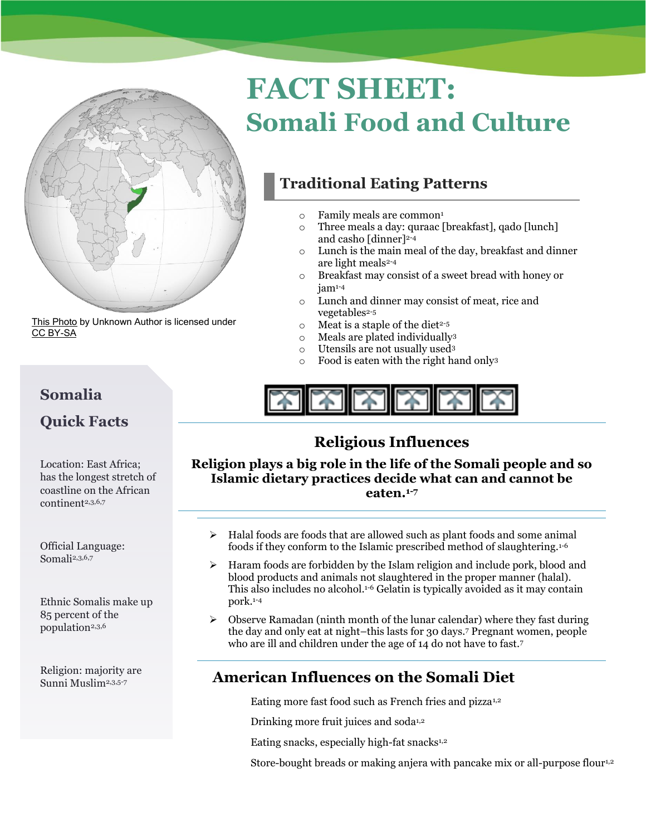

[This Photo](https://simple.wikipedia.org/wiki/File:Somalia_(orthographic_projection).svg) by Unknown Author is licensed under [CC BY-SA](https://creativecommons.org/licenses/by-sa/3.0/)

# **FACT SHEET: Somali Food and Culture**

# **Traditional Eating Patterns**

- $\circ$  Family meals are common<sup>1</sup>
- o Three meals a day: quraac [breakfast], qado [lunch] and casho [dinner] 2-4
- o Lunch is the main meal of the day, breakfast and dinner are light meals<sup>2-4</sup>
- o Breakfast may consist of a sweet bread with honey or jam1-4
- o Lunch and dinner may consist of meat, rice and vegetables<sup>2-5</sup>
- $\circ$  Meat is a staple of the diet<sup>2-5</sup>
- o Meals are plated individually<sup>3</sup>
- o Utensils are not usually used<sup>3</sup>
- o Food is eaten with the right hand only<sup>3</sup>

# **Somalia Quick Facts**

Location: East Africa; has the longest stretch of coastline on the African continent2,3,6,7

Official Language: Somali2,3,6,7

Ethnic Somalis make up 85 percent of the population<sup>2,3,6</sup>

Religion: majority are Sunni Muslim2,3,5-7



# **Religious Influences**

**Religion plays a big role in the life of the Somali people and so Islamic dietary practices decide what can and cannot be eaten. 1-7**

- $\triangleright$  Halal foods are foods that are allowed such as plant foods and some animal foods if they conform to the Islamic prescribed method of slaughtering.1-6
- $\triangleright$  Haram foods are forbidden by the Islam religion and include pork, blood and blood products and animals not slaughtered in the proper manner (halal). This also includes no alcohol. 1-6 Gelatin is typically avoided as it may contain pork.1-4
- $\triangleright$  Observe Ramadan (ninth month of the lunar calendar) where they fast during the day and only eat at night–this lasts for 30 days.<sup>7</sup> Pregnant women, people who are ill and children under the age of 14 do not have to fast.<sup>7</sup>

#### **American Influences on the Somali Diet**

Eating more fast food such as French fries and pizza<sup>1,2</sup>

Drinking more fruit juices and soda<sup>1,2</sup>

Eating snacks, especially high-fat snacks1,2

Store-bought breads or making anjera with pancake mix or all-purpose flour<sup>1,2</sup>